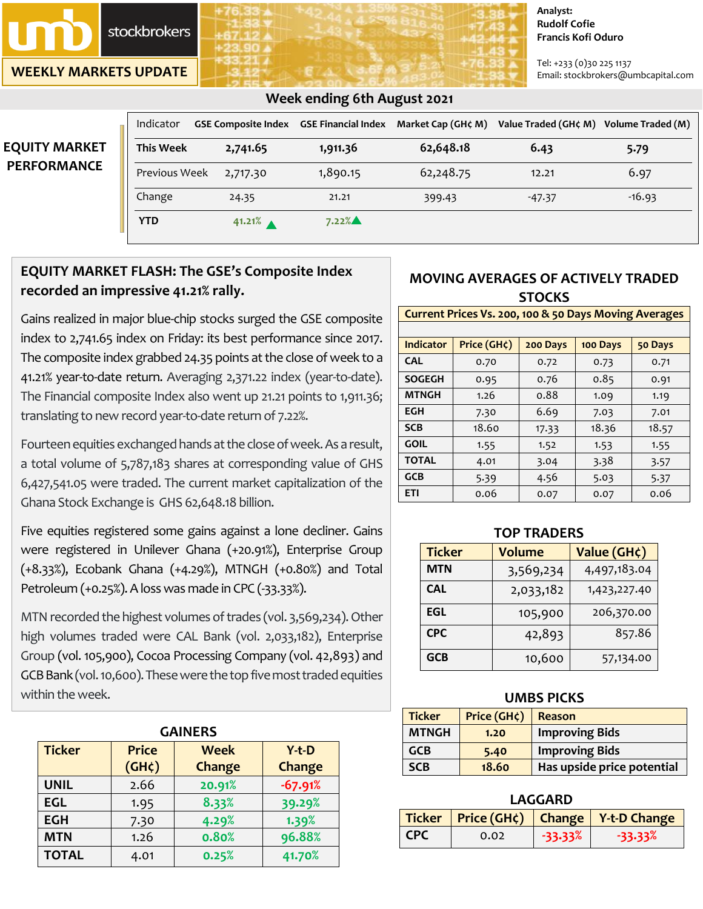**stockbrokers** 

**WEEKLY MARKETS UPDATE**

#### **Analyst: Rudolf Cofie Francis Kofi Oduro**

Tel: +233 (0)30 225 1137 Email: stockbrokers@umbcapital.com

|                      |                  |           |                                                | . .                |                      |                   |
|----------------------|------------------|-----------|------------------------------------------------|--------------------|----------------------|-------------------|
|                      | Indicator        |           | <b>GSE Composite Index GSE Financial Index</b> | Market Cap (GH¢ M) | Value Traded (GH¢ M) | Volume Traded (M) |
| <b>EQUITY MARKET</b> | <b>This Week</b> | 2,741.65  | 1,911.36                                       | 62,648.18          | 6.43                 | 5.79              |
| <b>PERFORMANCE</b>   | Previous Week    | 2,717.30  | 1,890.15                                       | 62,248.75          | 12.21                | 6.97              |
|                      | Change           | 24.35     | 21.21                                          | 399.43             | $-47.37$             | $-16.93$          |
|                      | <b>YTD</b>       | $41.21\%$ | 7.22%                                          |                    |                      |                   |

# **EQUITY MARKET FLASH: The GSE's Composite Index recorded an impressive 41.21% rally.**

Gains realized in major blue-chip stocks surged the GSE composite index to 2,741.65 index on Friday: its best performance since 2017. The composite index grabbed 24.35 points at the close of week to a 41.21% year-to-date return. Averaging 2,371.22 index (year-to-date). The Financial composite Index also went up 21.21 points to 1,911.36; translating to new record year-to-date return of 7.22%.

Fourteen equities exchanged hands at the close of week. As a result, a total volume of 5,787,183 shares at corresponding value of GHS 6,427,541.05 were traded. The current market capitalization of the Ghana Stock Exchange is GHS 62,648.18 billion.

Five equities registered some gains against a lone decliner. Gains were registered in Unilever Ghana (+20.91%), Enterprise Group (+8.33%), Ecobank Ghana (+4.29%), MTNGH (+0.80%) and Total Petroleum (+0.25%). A loss was made in CPC (-33.33%).

MTN recorded the highest volumes of trades (vol. 3,569,234). Other high volumes traded were CAL Bank (vol. 2,033,182), Enterprise Group (vol. 105,900), Cocoa Processing Company (vol. 42,893) and GCB Bank (vol. 10,600). These were the top five most traded equities within the week.

| <b>GAINERS</b> |              |             |           |  |
|----------------|--------------|-------------|-----------|--|
| <b>Ticker</b>  | <b>Price</b> | <b>Week</b> | $Y-t-D$   |  |
|                | $(GH\zeta)$  | Change      | Change    |  |
| <b>UNIL</b>    | 2.66         | 20.91%      | $-67.91%$ |  |
| <b>EGL</b>     | 1.95         | 8.33%       | 39.29%    |  |
| <b>EGH</b>     | 7.30         | 4.29%       | 1.39%     |  |
| <b>MTN</b>     | 1.26         | 0.80%       | 96.88%    |  |
| <b>TOTAL</b>   | 4.01         | 0.25%       | 41.70%    |  |

## **MOVING AVERAGES OF ACTIVELY TRADED STOCKS**

#### **Current Prices Vs. 200, 100 & 50 Days Moving Averages**

| Indicator     | Price (GH¢) | 200 Days | 100 Days | 50 Days |
|---------------|-------------|----------|----------|---------|
| <b>CAL</b>    | 0.70        | 0.72     | 0.73     | 0.71    |
| <b>SOGEGH</b> | 0.95        | 0.76     | 0.85     | 0.91    |
| <b>MTNGH</b>  | 1.26        | 0.88     | 1.09     | 1.19    |
| <b>EGH</b>    | 7.30        | 6.69     | 7.03     | 7.01    |
| <b>SCB</b>    | 18.60       | 17.33    | 18.36    | 18.57   |
| <b>GOIL</b>   | 1.55        | 1.52     | 1.53     | 1.55    |
| <b>TOTAL</b>  | 4.01        | 3.04     | 3.38     | 3.57    |
| <b>GCB</b>    | 5.39        | 4.56     | 5.03     | 5.37    |
| <b>ETI</b>    | 0.06        | 0.07     | 0.07     | 0.06    |

|  | TOP TRADERS |  |
|--|-------------|--|
|  |             |  |

| <b>Ticker</b> | <b>Volume</b> | Value (GH¢)  |
|---------------|---------------|--------------|
| <b>MTN</b>    | 3,569,234     | 4,497,183.04 |
| <b>CAL</b>    | 2,033,182     | 1,423,227.40 |
| <b>EGL</b>    | 105,900       | 206,370.00   |
| <b>CPC</b>    | 42,893        | 857.86       |
| GCB           | 10,600        | 57,134.00    |

#### **UMBS PICKS**

| <b>Ticker</b> | Price (GH¢) | Reason                     |
|---------------|-------------|----------------------------|
| <b>MTNGH</b>  | 1.20        | <b>Improving Bids</b>      |
| <b>GCB</b>    | 5.40        | <b>Improving Bids</b>      |
| <b>SCB</b>    | 18.60       | Has upside price potential |

| <b>LAGGARD</b> |      |           |                                              |  |
|----------------|------|-----------|----------------------------------------------|--|
|                |      |           | Ticker   Price (GH¢)   Change   Y-t-D Change |  |
| <b>CPC</b>     | 0.02 | $-33.33%$ | $-33.33%$                                    |  |

### **Week ending 6th August 2021**